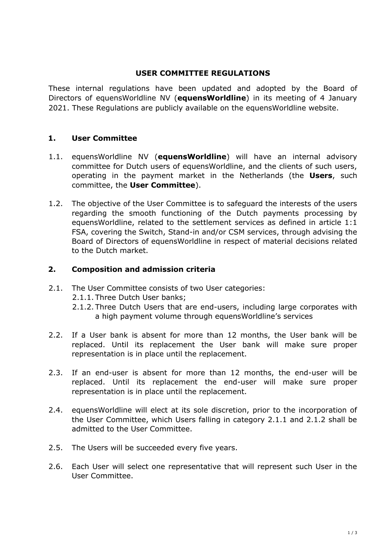## **USER COMMITTEE REGULATIONS**

These internal regulations have been updated and adopted by the Board of Directors of equensWorldline NV (**equensWorldline**) in its meeting of 4 January 2021. These Regulations are publicly available on the equensWorldline website.

# **1. User Committee**

- 1.1. equensWorldline NV (**equensWorldline**) will have an internal advisory committee for Dutch users of equensWorldline, and the clients of such users, operating in the payment market in the Netherlands (the **Users**, such committee, the **User Committee**).
- 1.2. The objective of the User Committee is to safeguard the interests of the users regarding the smooth functioning of the Dutch payments processing by equensWorldline, related to the settlement services as defined in article 1:1 FSA, covering the Switch, Stand-in and/or CSM services, through advising the Board of Directors of equensWorldline in respect of material decisions related to the Dutch market.

## **2. Composition and admission criteria**

- 2.1. The User Committee consists of two User categories:
	- 2.1.1. Three Dutch User banks;
	- 2.1.2. Three Dutch Users that are end-users, including large corporates with a high payment volume through equensWorldline's services
- 2.2. If a User bank is absent for more than 12 months, the User bank will be replaced. Until its replacement the User bank will make sure proper representation is in place until the replacement.
- 2.3. If an end-user is absent for more than 12 months, the end-user will be replaced. Until its replacement the end-user will make sure proper representation is in place until the replacement.
- 2.4. equensWorldline will elect at its sole discretion, prior to the incorporation of the User Committee, which Users falling in category 2.1.1 and 2.1.2 shall be admitted to the User Committee.
- 2.5. The Users will be succeeded every five years.
- 2.6. Each User will select one representative that will represent such User in the User Committee.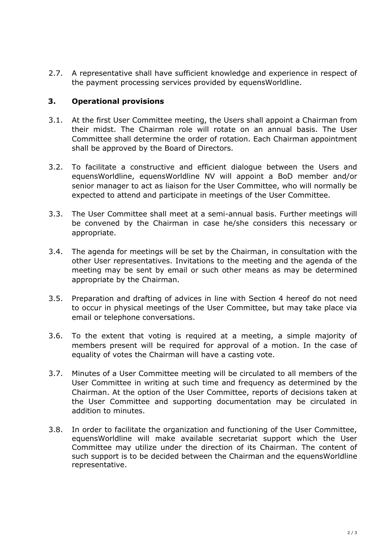2.7. A representative shall have sufficient knowledge and experience in respect of the payment processing services provided by equensWorldline.

## **3. Operational provisions**

- 3.1. At the first User Committee meeting, the Users shall appoint a Chairman from their midst. The Chairman role will rotate on an annual basis. The User Committee shall determine the order of rotation. Each Chairman appointment shall be approved by the Board of Directors.
- 3.2. To facilitate a constructive and efficient dialogue between the Users and equensWorldline, equensWorldline NV will appoint a BoD member and/or senior manager to act as liaison for the User Committee, who will normally be expected to attend and participate in meetings of the User Committee.
- 3.3. The User Committee shall meet at a semi-annual basis. Further meetings will be convened by the Chairman in case he/she considers this necessary or appropriate.
- 3.4. The agenda for meetings will be set by the Chairman, in consultation with the other User representatives. Invitations to the meeting and the agenda of the meeting may be sent by email or such other means as may be determined appropriate by the Chairman.
- 3.5. Preparation and drafting of advices in line with Section 4 hereof do not need to occur in physical meetings of the User Committee, but may take place via email or telephone conversations.
- 3.6. To the extent that voting is required at a meeting, a simple majority of members present will be required for approval of a motion. In the case of equality of votes the Chairman will have a casting vote.
- 3.7. Minutes of a User Committee meeting will be circulated to all members of the User Committee in writing at such time and frequency as determined by the Chairman. At the option of the User Committee, reports of decisions taken at the User Committee and supporting documentation may be circulated in addition to minutes.
- 3.8. In order to facilitate the organization and functioning of the User Committee, equensWorldline will make available secretariat support which the User Committee may utilize under the direction of its Chairman. The content of such support is to be decided between the Chairman and the equensWorldline representative.